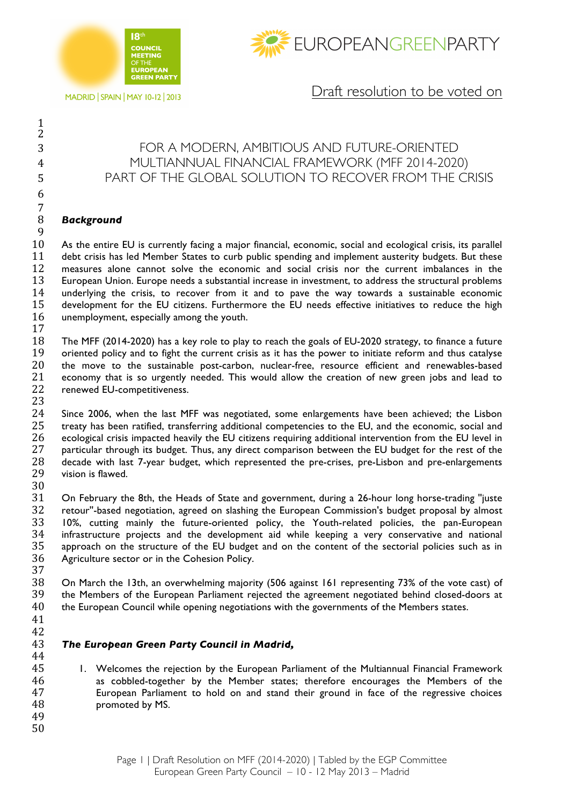



**MADRID | SPAIN | MAY 10-12 | 2013** 

## Draft resolution to be voted on

## FOR A MODERN, AMBITIOUS AND FUTURE-ORIENTED MULTIANNUAL FINANCIAL FRAMEWORK (MFF 2014-2020) PART OF THE GLOBAL SOLUTION TO RECOVER FROM THE CRISIS

## *Background*

 

 

 As the entire EU is currently facing a major financial, economic, social and ecological crisis, its parallel debt crisis has led Member States to curb public spending and implement austerity budgets. But these measures alone cannot solve the economic and social crisis nor the current imbalances in the European Union. Europe needs a substantial increase in investment, to address the structural problems underlying the crisis, to recover from it and to pave the way towards a sustainable economic development for the EU citizens. Furthermore the EU needs effective initiatives to reduce the high unemployment, especially among the youth.

 The MFF (2014-2020) has a key role to play to reach the goals of EU-2020 strategy, to finance a future 19 oriented policy and to fight the current crisis as it has the power to initiate reform and thus catalyse<br>20 the move to the sustainable post-carbon, nuclear-free, resource efficient and renewables-based the move to the sustainable post-carbon, nuclear-free, resource efficient and renewables-based 21 economy that is so urgently needed. This would allow the creation of new green jobs and lead to 22 renewed EU-competitiveness. renewed EU-competitiveness.

 24 Since 2006, when the last MFF was negotiated, some enlargements have been achieved; the Lisbon<br>25 treaty has been ratified, transferring additional competencies to the EU, and the economic, social and treaty has been ratified, transferring additional competencies to the EU, and the economic, social and ecological crisis impacted heavily the EU citizens requiring additional intervention from the EU level in 27 particular through its budget. Thus, any direct comparison between the EU budget for the rest of the decade with last 7-year budget, which represented the pre-crises, pre-Lisbon and pre-enlargements vision is flawed.

 $\frac{30}{31}$  On February the 8th, the Heads of State and government, during a 26-hour long horse-trading ''juste retour''-based negotiation, agreed on slashing the European Commission's budget proposal by almost 10%, cutting mainly the future-oriented policy, the Youth-related policies, the pan-European infrastructure projects and the development aid while keeping a very conservative and national approach on the structure of the EU budget and on the content of the sectorial policies such as in Agriculture sector or in the Cohesion Policy.

 On March the 13th, an overwhelming majority (506 against 161 representing 73% of the vote cast) of the Members of the European Parliament rejected the agreement negotiated behind closed-doors at 40 the European Council while opening negotiations with the governments of the Members states.

 

## *The European Green Party Council in Madrid,*

45 1. Welcomes the rejection by the European Parliament of the Multiannual Financial Framework as cobbled-together by the Member states; therefore encourages the Members of the European Parliament to hold on and stand their ground in face of the regressive choices promoted by MS.